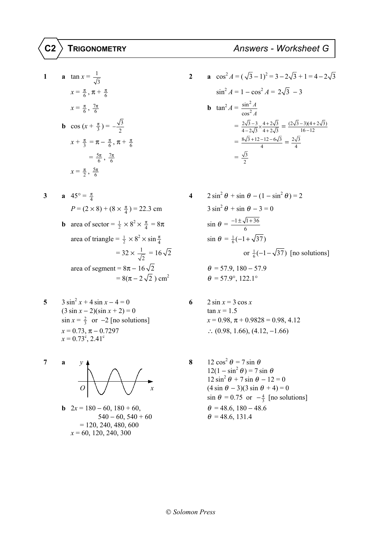1 **a** 
$$
\tan x = \frac{1}{\sqrt{3}}
$$
  
\n $x = \frac{\pi}{6}, \pi + \frac{\pi}{6}$   
\n $x = \frac{\pi}{6}, \frac{7\pi}{6}$   
\n2 **a**  $\cos^2 A = \sin^2 A = \sin^2 A = \sin^2 A = \sin^2 A = \sin^2 A = \sin^2 A = \sin^2 A = \sin^2 A = \sin^2 A = \sin^2 A = \sin^2 A = \sin^2 A = \sin^2 A = \sin^2 A = \sin^2 A = \sin^2 A = \sin^2 A = \sin^2 A = \sin^2 A = \sin^2 A = \sin^2 A = \sin^2 A = \sin^2 A = \sin^2 A = \sin^2 A = \sin^2 A = \sin^2 A = \sin^2 A = \sin^2 A = \sin^2 A = \sin^2 A = \sin^2 A = \sin^2 A = \sin^2 A = \sin^2 A = \sin^2 A = \sin^2 A = \sin^2 A = \sin^2 A = \sin^2 A = \sin^2 A = \sin^2 A = \sin^2 A = \sin^2 A = \sin^2 A = \sin^2 A = \sin^2 A = \sin^2 A = \sin^2 A = \sin^2 A = \sin^2 A = \sin^2 A = \sin^2 A = \sin^2 A = \sin^2 A = \sin^2 A = \sin^2 A = \sin^2 A = \sin^2 A = \sin^2 A = \sin^2 A = \sin^2 A = \sin^2 A = \sin^2 A = \sin^2 A = \sin^2 A = \sin^2 A = \sin^2 A = \sin^2 A = \sin^2 A = \sin^2 A = \sin^2 A = \sin^2 A = \sin^2 A = \sin^2 A = \sin^2 A = \sin^2 A = \sin^2 A = \sin^2 A = \sin^2 A = \sin^2 A = \sin^2 A = \sin^2 A = \sin^2 A = \sin^2 A = \sin^2 A = \sin^2 A = \sin^2 A = \sin^2 A = \sin^2 A = \sin^2 A = \sin^2 A = \sin^2 A = \sin^2 A = \sin^2 A = \sin^2 A = \sin^2 A = \sin^2 A = \sin^2 A = \sin^2 A = \sin^2 A = \sin^2 A = \sin^2 A = \sin^2 A = \sin^2 A = \sin^2 A = \sin^2 A = \sin^2 A = \sin^2 A = \sin^2 A = \sin^2 A = \sin^2 A$ 

3 **a** 
$$
45^{\circ} = \frac{\pi}{4}
$$
  
\n $P = (2 \times 8) + (8 \times \frac{\pi}{4}) = 22.3 \text{ cm}$   
\n**b** area of sector  $= \frac{1}{2} \times 8^2 \times \frac{\pi}{4} = 8\pi$   
\n $= 32 \times \frac{1}{\sqrt{2}} = 16\sqrt{2}$   
\n $= 8(\pi - 2\sqrt{2}) \text{ cm}^2$   
\n4  $2 \sin^2 \theta + \sin \theta - (1 - 2\sqrt{2})$   
\n $= 3\left(\frac{1}{2} \times 8^2 \times \frac{\pi}{4}\right)$   
\n $= 32 \times \frac{1}{\sqrt{2}} = 16\sqrt{2}$   
\n $= 8(\pi - 2\sqrt{2}) \text{ cm}^2$   
\n $= 57.9^{\circ}, 122.1^{\circ}$ 

- **5**  $3 \sin^2 x + 4 \sin x 4 = 0$  **6**  $2 \sin x = 3 \cos x$  $(3 \sin x - 2)(\sin x + 2) = 0$  $x = 0.73, \pi - 0.7297$  $x = 0.73^{\circ}, 2.41^{\circ}$
- **7 a**  $y \downarrow$  **8**  $12 \cos^2 \theta = 7 \sin \theta$  $12(1 - \sin^2 \theta) = 7 \sin \theta$  $12 \sin^2 \theta + 7 \sin \theta - 12 = 0$ *O* |  $\sqrt{7}$  *x* (4 sin  $\theta$  – 3)(3 sin  $\theta$  + 4) = 0
	- **b**  $2x = 180 60, 180 + 60,$  $540 - 60, 540 + 60$  $= 120, 240, 480, 600$ *x* = 60, 120, 240, 300

2 **a** 
$$
\cos^2 A = (\sqrt{3} - 1)^2 = 3 - 2\sqrt{3} + 1 = 4 - 2\sqrt{3}
$$
  
\n $\frac{\pi}{6}$   
\n $\sin^2 A = 1 - \cos^2 A = 2\sqrt{3} - 3$   
\n**b**  $\tan^2 A = \frac{\sin^2 A}{\cos^2 A}$   
\n $= \frac{2\sqrt{3} - 3}{4 - 2\sqrt{3}} \times \frac{4 + 2\sqrt{3}}{4 + 2\sqrt{3}} = \frac{(2\sqrt{3} - 3)(4 + 2\sqrt{3})}{16 - 12}$   
\n $= \frac{8\sqrt{3} + 12 - 12 - 6\sqrt{3}}{4} = \frac{2\sqrt{3}}{4}$   
\n $= \frac{\sqrt{3}}{2}$ 

4  
\n
$$
2 \sin^2 \theta + \sin \theta - (1 - \sin^2 \theta) = 2
$$
  
\n $\times 8) + (8 \times \frac{\pi}{4}) = 22.3 \text{ cm}$   
\n3  
\n $\sin^2 \theta + \sin \theta - 3 = 0$   
\n3  
\n $\sin^2 \theta + \sin \theta - 3 = 0$   
\n  
\n $\sin \theta = \frac{-1 \pm \sqrt{1 + 36}}{6}$   
\n  
\n $\sin \theta = \frac{1}{6}(-1 + \sqrt{37})$   
\n $= 32 \times \frac{1}{\sqrt{2}} = 16\sqrt{2}$   
\n $= 8\pi - 16\sqrt{2}$   
\n $\theta = 57.9, 180 - 57.9$   
\n $= 8(\pi - 2\sqrt{2}) \text{ cm}^2$   
\n $\theta = 57.9^{\circ}, 122.1^{\circ}$ 

5 
$$
3 \sin^2 x + 4 \sin x - 4 = 0
$$
  
\n $(3 \sin x - 2)(\sin x + 2) = 0$   
\n $\sin x = \frac{2}{3}$  or  $-2$  [no solutions]  
\n $x = 0.73$ ,  $\pi - 0.7297$   
\n6  $2 \sin x = 3 \cos x$   
\n $\tan x = 1.5$   
\n $x = 0.98$ ,  $\pi + 0.9828 = 0.98$ , 4.12  
\n $\therefore$  (0.98, 1.66), (4.12, -1.66)

7 **a** 
$$
y
$$
  
\n $y$   
\n $Q$   
\n $Q$   
\n $Q$   
\n $Q$   
\n $Q$   
\n $Q$   
\n $Q$   
\n $Q$   
\n $Q$   
\n $Q$   
\n $Q$   
\n $Q$   
\n $Q$   
\n $Q$   
\n $Q$   
\n $Q$   
\n $Q$   
\n $Q$   
\n $Q$   
\n $Q$   
\n $Q$   
\n $Q$   
\n $Q$   
\n $Q$   
\n $Q$   
\n $Q$   
\n $Q$   
\n $Q$   
\n $Q$   
\n $Q$   
\n $Q$   
\n $Q$   
\n $Q$   
\n $Q$   
\n $Q$   
\n $Q$   
\n $Q$   
\n $Q$   
\n $Q$   
\n $Q$   
\n $Q$   
\n $Q$   
\n $Q$   
\n $Q$   
\n $Q$   
\n $Q$   
\n $Q$   
\n $Q$   
\n $Q$   
\n $Q$   
\n $Q$   
\n $Q$   
\n $Q$   
\n $Q$   
\n $Q$   
\n $Q$   
\n $Q$   
\n $Q$   
\n $Q$   
\n $Q$   
\n $Q$   
\n $Q$   
\n $Q$   
\n $Q$   
\n $Q$   
\n $Q$   
\n $Q$   
\n $Q$   
\n $Q$   
\n $Q$   
\n $Q$   
\n $Q$   
\n $Q$   
\n $Q$   
\n

*Solomon Press*

**C2 TRIGONOMETRY** *Answers - Worksheet G*